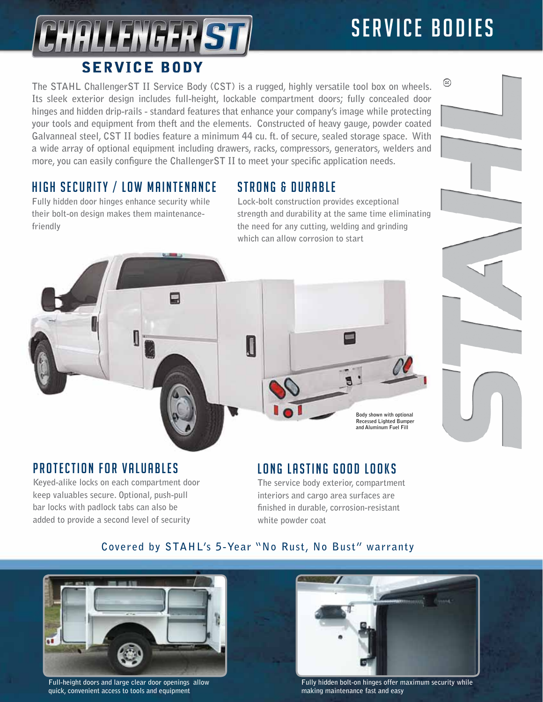# SERVICE BODIES

⊛



**The STAHL ChallengerST II Service Body (CST) is a rugged, highly versatile tool box on wheels. Its sleek exterior design includes full-height, lockable compartment doors; fully concealed door hinges and hidden drip-rails - standard features that enhance your company's image while protecting your tools and equipment from theft and the elements. Constructed of heavy gauge, powder coated Galvanneal steel, CST II bodies feature a minimum 44 cu. ft. of secure, sealed storage space. With a wide array of optional equipment including drawers, racks, compressors, generators, welders and more, you can easily configure the ChallengerST II to meet your specific application needs.**

## HIGH SECURITY / LOW MAINTENANCE

**Fully hidden door hinges enhance security while their bolt-on design makes them maintenancefriendly**

### STRONG & DURABLE

**Lock-bolt construction provides exceptional strength and durability at the same time eliminating the need for any cutting, welding and grinding which can allow corrosion to start**



**Body shown with optional Recessed Lighted Bumper and Aluminum Fuel Fill**

#### **PROTECTION FOR VALUABLES**

**Keyed-alike locks on each compartment door keep valuables secure. Optional, push-pull bar locks with padlock tabs can also be added to provide a second level of security** 

#### LONG LASTING GOOD LOOKS

**The service body exterior, compartment interiors and cargo area surfaces are finished in durable, corrosion-resistant white powder coat** 

#### **Covered by STAHL's 5-Year "No Rust, No Bust" warranty**



**Full-height doors and large clear door openings allow quick, convenient access to tools and equipment** 



**Fully hidden bolt-on hinges offer maximum security while making maintenance fast and easy**